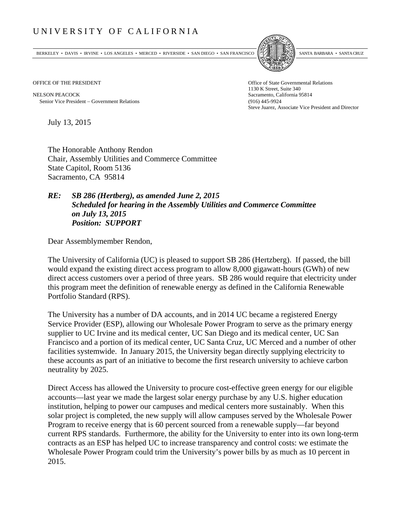## UNIVERSITY OF CALIFORNIA

BERKELEY • DAVIS • IRVINE • LOS ANGELES • MERCED • RIVERSIDE • SAN DIEGO • SAN FRANCISCO SANTA BARBARA • SANTA CRUZ



OFFICE OF THE PRESIDENT STATES OF THE PRESIDENT

NELSON PEACOCK Sacramento, California 95814 Senior Vice President Government Relations (916) 445-9924

1130 K Street, Suite 340 Steve Juarez, Associate Vice President and Director

July 13, 2015

The Honorable Anthony Rendon Chair, Assembly Utilities and Commerce Committee State Capitol, Room 5136 Sacramento, CA 95814

## *RE: SB 286 (Hertberg), as amended June 2, 2015 Scheduled for hearing in the Assembly Utilities and Commerce Committee on July 13, 2015 Position: SUPPORT*

Dear Assemblymember Rendon,

The University of California (UC) is pleased to support SB 286 (Hertzberg). If passed, the bill would expand the existing direct access program to allow 8,000 gigawatt-hours (GWh) of new direct access customers over a period of three years. SB 286 would require that electricity under this program meet the definition of renewable energy as defined in the California Renewable Portfolio Standard (RPS).

The University has a number of DA accounts, and in 2014 UC became a registered Energy Service Provider (ESP), allowing our Wholesale Power Program to serve as the primary energy supplier to UC Irvine and its medical center, UC San Diego and its medical center, UC San Francisco and a portion of its medical center, UC Santa Cruz, UC Merced and a number of other facilities systemwide. In January 2015, the University began directly supplying electricity to these accounts as part of an initiative to become the first research university to achieve carbon neutrality by 2025.

Direct Access has allowed the University to procure cost-effective green energy for our eligible accounts—last year we made the largest solar energy purchase by any U.S. higher education institution, helping to power our campuses and medical centers more sustainably. When this solar project is completed, the new supply will allow campuses served by the Wholesale Power Program to receive energy that is 60 percent sourced from a renewable supply—far beyond current RPS standards. Furthermore, the ability for the University to enter into its own long-term contracts as an ESP has helped UC to increase transparency and control costs: we estimate the Wholesale Power Program could trim the University's power bills by as much as 10 percent in 2015.